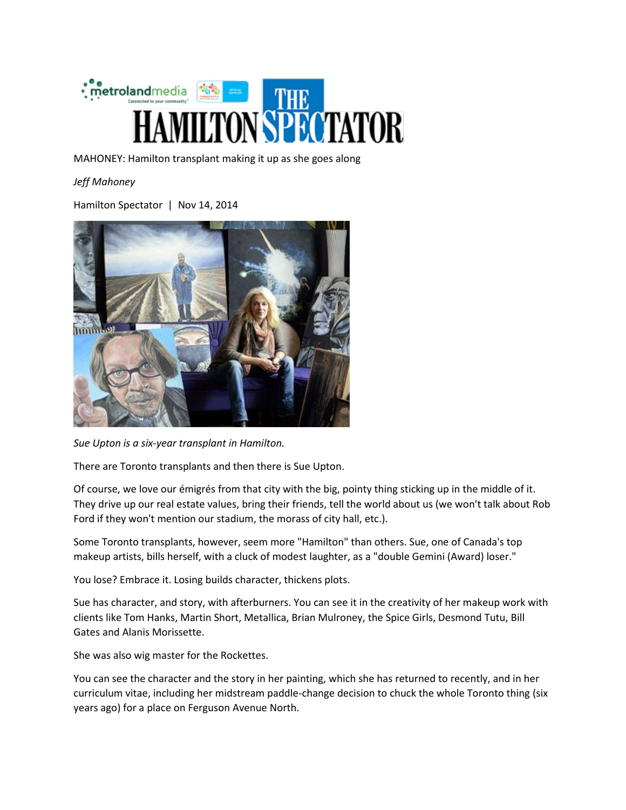

MAHONEY: Hamilton transplant making it up as she goes along

*Jeff Mahoney*

Hamilton Spectator | Nov 14, 2014



*Sue Upton is a six-year transplant in Hamilton.*

There are Toronto transplants and then there is Sue Upton.

Of course, we love our émigrés from that city with the big, pointy thing sticking up in the middle of it. They drive up our real estate values, bring their friends, tell the world about us (we won't talk about Rob Ford if they won't mention our stadium, the morass of city hall, etc.).

Some Toronto transplants, however, seem more "Hamilton" than others. Sue, one of Canada's top makeup artists, bills herself, with a cluck of modest laughter, as a "double Gemini (Award) loser."

You lose? Embrace it. Losing builds character, thickens plots.

Sue has character, and story, with afterburners. You can see it in the creativity of her makeup work with clients like Tom Hanks, Martin Short, Metallica, Brian Mulroney, the Spice Girls, Desmond Tutu, Bill Gates and Alanis Morissette.

She was also wig master for the Rockettes.

You can see the character and the story in her painting, which she has returned to recently, and in her curriculum vitae, including her midstream paddle-change decision to chuck the whole Toronto thing (six years ago) for a place on Ferguson Avenue North.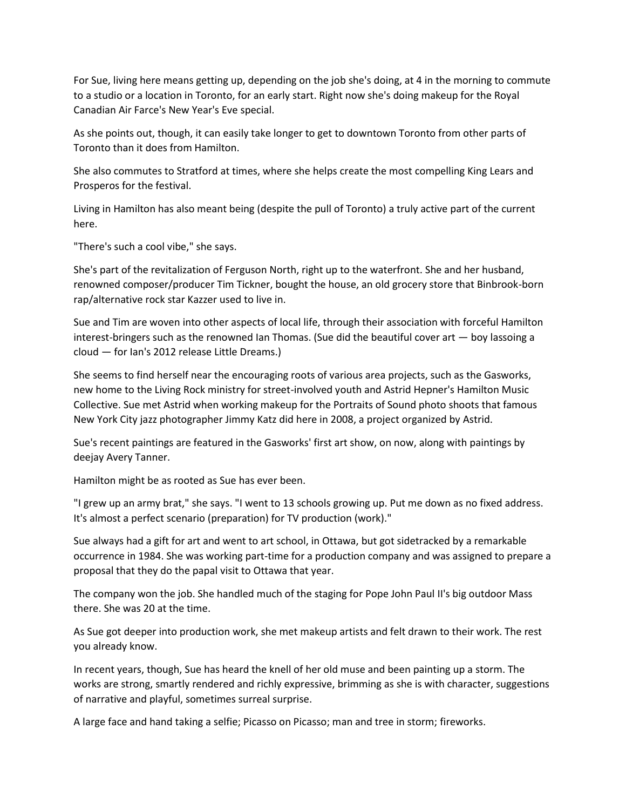For Sue, living here means getting up, depending on the job she's doing, at 4 in the morning to commute to a studio or a location in Toronto, for an early start. Right now she's doing makeup for the Royal Canadian Air Farce's New Year's Eve special.

As she points out, though, it can easily take longer to get to downtown Toronto from other parts of Toronto than it does from Hamilton.

She also commutes to Stratford at times, where she helps create the most compelling King Lears and Prosperos for the festival.

Living in Hamilton has also meant being (despite the pull of Toronto) a truly active part of the current here.

"There's such a cool vibe," she says.

She's part of the revitalization of Ferguson North, right up to the waterfront. She and her husband, renowned composer/producer Tim Tickner, bought the house, an old grocery store that Binbrook-born rap/alternative rock star Kazzer used to live in.

Sue and Tim are woven into other aspects of local life, through their association with forceful Hamilton interest-bringers such as the renowned Ian Thomas. (Sue did the beautiful cover art — boy lassoing a cloud — for Ian's 2012 release Little Dreams.)

She seems to find herself near the encouraging roots of various area projects, such as the Gasworks, new home to the Living Rock ministry for street-involved youth and Astrid Hepner's Hamilton Music Collective. Sue met Astrid when working makeup for the Portraits of Sound photo shoots that famous New York City jazz photographer Jimmy Katz did here in 2008, a project organized by Astrid.

Sue's recent paintings are featured in the Gasworks' first art show, on now, along with paintings by deejay Avery Tanner.

Hamilton might be as rooted as Sue has ever been.

"I grew up an army brat," she says. "I went to 13 schools growing up. Put me down as no fixed address. It's almost a perfect scenario (preparation) for TV production (work)."

Sue always had a gift for art and went to art school, in Ottawa, but got sidetracked by a remarkable occurrence in 1984. She was working part-time for a production company and was assigned to prepare a proposal that they do the papal visit to Ottawa that year.

The company won the job. She handled much of the staging for Pope John Paul II's big outdoor Mass there. She was 20 at the time.

As Sue got deeper into production work, she met makeup artists and felt drawn to their work. The rest you already know.

In recent years, though, Sue has heard the knell of her old muse and been painting up a storm. The works are strong, smartly rendered and richly expressive, brimming as she is with character, suggestions of narrative and playful, sometimes surreal surprise.

A large face and hand taking a selfie; Picasso on Picasso; man and tree in storm; fireworks.